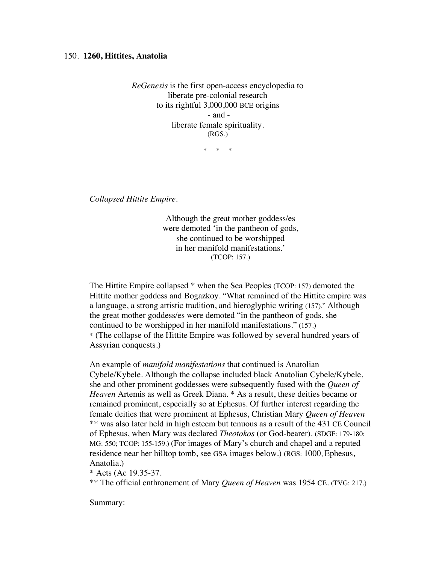## 150. **1260, Hittites, Anatolia**

*ReGenesis* is the first open-access encyclopedia to liberate pre-colonial research to its rightful 3,000,000 BCE origins - and liberate female spirituality. (RGS.)

\* \* \*

*Collapsed Hittite Empire.*

Although the great mother goddess/es were demoted 'in the pantheon of gods, she continued to be worshipped in her manifold manifestations.' (TCOP: 157.)

The Hittite Empire collapsed \* when the Sea Peoples (TCOP: 157) demoted the Hittite mother goddess and Bogazkoy. "What remained of the Hittite empire was a language, a strong artistic tradition, and hieroglyphic writing (157)." Although the great mother goddess/es were demoted "in the pantheon of gods, she continued to be worshipped in her manifold manifestations." (157.) \* (The collapse of the Hittite Empire was followed by several hundred years of Assyrian conquests.)

An example of *manifold manifestations* that continued is Anatolian Cybele/Kybele. Although the collapse included black Anatolian Cybele/Kybele, she and other prominent goddesses were subsequently fused with the *Queen of Heaven* Artemis as well as Greek Diana. \* As a result, these deities became or remained prominent, especially so at Ephesus. Of further interest regarding the female deities that were prominent at Ephesus, Christian Mary *Queen of Heaven* \*\* was also later held in high esteem but tenuous as a result of the 431 CE Council of Ephesus, when Mary was declared *Theotokos* (or God-bearer). (SDGF: 179-180; MG: 550; TCOP: 155-159.) (For images of Mary's church and chapel and a reputed residence near her hilltop tomb, see GSA images below.) (RGS: 1000, Ephesus, Anatolia.)

\* Acts (Ac 19.35-37.

\*\* The official enthronement of Mary *Queen of Heaven* was 1954 CE. (TVG: 217.)

Summary: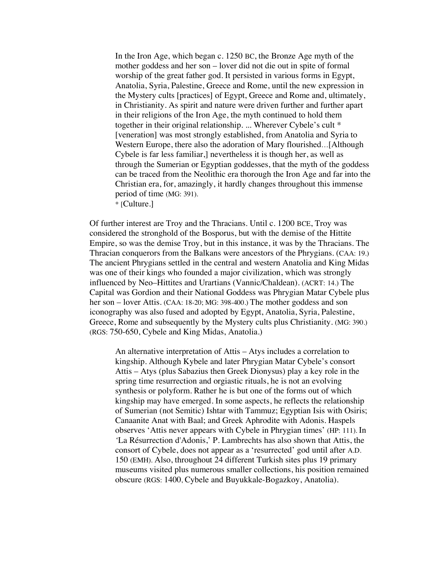In the Iron Age, which began c. 1250 BC, the Bronze Age myth of the mother goddess and her son – lover did not die out in spite of formal worship of the great father god. It persisted in various forms in Egypt, Anatolia, Syria, Palestine, Greece and Rome, until the new expression in the Mystery cults [practices] of Egypt, Greece and Rome and, ultimately, in Christianity. As spirit and nature were driven further and further apart in their religions of the Iron Age, the myth continued to hold them together in their original relationship. ... Wherever Cybele's cult \* [veneration] was most strongly established, from Anatolia and Syria to Western Europe, there also the adoration of Mary flourished…[Although Cybele is far less familiar,] nevertheless it is though her, as well as through the Sumerian or Egyptian goddesses, that the myth of the goddess can be traced from the Neolithic era thorough the Iron Age and far into the Christian era, for, amazingly, it hardly changes throughout this immense period of time (MG: 391). \* [Culture.]

Of further interest are Troy and the Thracians. Until c. 1200 BCE, Troy was considered the stronghold of the Bosporus, but with the demise of the Hittite Empire, so was the demise Troy, but in this instance, it was by the Thracians. The Thracian conquerors from the Balkans were ancestors of the Phrygians. (CAA: 19.) The ancient Phrygians settled in the central and western Anatolia and King Midas was one of their kings who founded a major civilization, which was strongly influenced by Neo–Hittites and Urartians (Vannic/Chaldean). (ACRT: 14.) The Capital was Gordion and their National Goddess was Phrygian Matar Cybele plus her son – lover Attis. (CAA: 18-20; MG: 398-400.) The mother goddess and son iconography was also fused and adopted by Egypt, Anatolia, Syria, Palestine, Greece, Rome and subsequently by the Mystery cults plus Christianity. (MG: 390.) (RGS: 750-650, Cybele and King Midas, Anatolia.)

An alternative interpretation of Attis – Atys includes a correlation to kingship. Although Kybele and later Phrygian Matar Cybele's consort Attis – Atys (plus Sabazius then Greek Dionysus) play a key role in the spring time resurrection and orgiastic rituals, he is not an evolving synthesis or polyform. Rather he is but one of the forms out of which kingship may have emerged. In some aspects, he reflects the relationship of Sumerian (not Semitic) Ishtar with Tammuz; Egyptian Isis with Osiris; Canaanite Anat with Baal; and Greek Aphrodite with Adonis. Haspels observes 'Attis never appears with Cybele in Phrygian times' (HP: 111). In *'*La Résurrection d'Adonis,' P. Lambrechts has also shown that Attis, the consort of Cybele, does not appear as a 'resurrected' god until after A.D. 150 (EMH). Also, throughout 24 different Turkish sites plus 19 primary museums visited plus numerous smaller collections, his position remained obscure (RGS: 1400, Cybele and Buyukkale-Bogazkoy, Anatolia).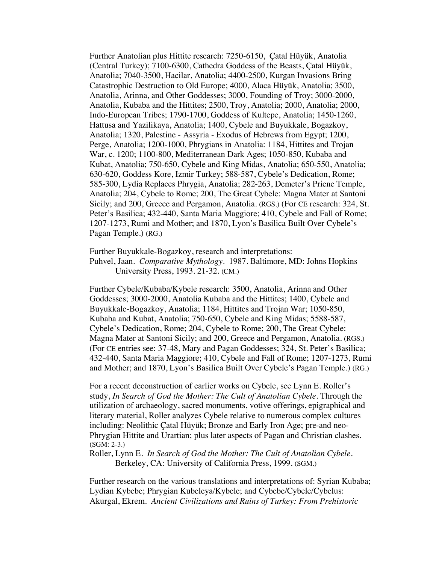Further Anatolian plus Hittite research: 7250-6150, Çatal Hüyük, Anatolia (Central Turkey); 7100-6300, Cathedra Goddess of the Beasts, Çatal Hüyük, Anatolia; 7040-3500, Hacilar, Anatolia; 4400-2500, Kurgan Invasions Bring Catastrophic Destruction to Old Europe; 4000, Alaca Hüyük, Anatolia; 3500, Anatolia, Arinna, and Other Goddesses; 3000, Founding of Troy; 3000-2000, Anatolia, Kubaba and the Hittites; 2500, Troy, Anatolia; 2000, Anatolia; 2000, Indo-European Tribes; 1790-1700, Goddess of Kultepe, Anatolia; 1450-1260, Hattusa and Yazilikaya, Anatolia; 1400, Cybele and Buyukkale, Bogazkoy, Anatolia; 1320, Palestine - Assyria - Exodus of Hebrews from Egypt; 1200, Perge, Anatolia; 1200-1000, Phrygians in Anatolia: 1184, Hittites and Trojan War, c. 1200; 1100-800, Mediterranean Dark Ages; 1050-850, Kubaba and Kubat, Anatolia; 750-650, Cybele and King Midas, Anatolia; 650-550, Anatolia; 630-620, Goddess Kore, Izmir Turkey; 588-587, Cybele's Dedication, Rome; 585-300, Lydia Replaces Phrygia, Anatolia; 282-263, Demeter's Priene Temple, Anatolia; 204, Cybele to Rome; 200, The Great Cybele: Magna Mater at Santoni Sicily; and 200, Greece and Pergamon, Anatolia. (RGS.) (For CE research: 324, St. Peter's Basilica; 432-440, Santa Maria Maggiore; 410, Cybele and Fall of Rome; 1207-1273, Rumi and Mother; and 1870, Lyon's Basilica Built Over Cybele's Pagan Temple.) (RG.)

Further Buyukkale-Bogazkoy, research and interpretations:

Puhvel, Jaan. *Comparative Mythology*. 1987. Baltimore, MD: Johns Hopkins University Press, 1993. 21-32. (CM.)

Further Cybele/Kubaba/Kybele research: 3500, Anatolia, Arinna and Other Goddesses; 3000-2000, Anatolia Kubaba and the Hittites; 1400, Cybele and Buyukkale-Bogazkoy, Anatolia; 1184, Hittites and Trojan War; 1050-850, Kubaba and Kubat, Anatolia; 750-650, Cybele and King Midas; 5588-587, Cybele's Dedication, Rome; 204, Cybele to Rome; 200, The Great Cybele: Magna Mater at Santoni Sicily; and 200, Greece and Pergamon, Anatolia. (RGS.) (For CE entries see: 37-48, Mary and Pagan Goddesses; 324, St. Peter's Basilica; 432-440, Santa Maria Maggiore; 410, Cybele and Fall of Rome; 1207-1273, Rumi and Mother; and 1870, Lyon's Basilica Built Over Cybele's Pagan Temple.) (RG.)

For a recent deconstruction of earlier works on Cybele, see Lynn E. Roller's study, *In Search of God the Mother: The Cult of Anatolian Cybele.* Through the utilization of archaeology, sacred monuments, votive offerings, epigraphical and literary material, Roller analyzes Cybele relative to numerous complex cultures including: Neolithic Çatal Hüyük; Bronze and Early Iron Age; pre-and neo-Phrygian Hittite and Urartian; plus later aspects of Pagan and Christian clashes. (SGM: 2-3.)

Roller, Lynn E. *In Search of God the Mother: The Cult of Anatolian Cybele.* Berkeley, CA: University of California Press, 1999. (SGM.)

Further research on the various translations and interpretations of: Syrian Kubaba; Lydian Kybebe; Phrygian Kubeleya/Kybele; and Cybebe/Cybele/Cybelus: Akurgal, Ekrem*. Ancient Civilizations and Ruins of Turkey: From Prehistoric*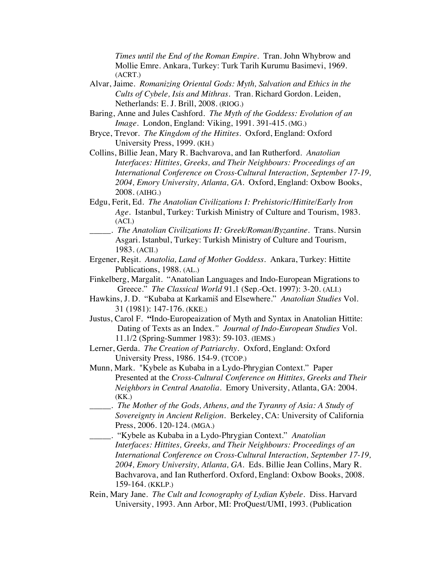*Times until the End of the Roman Empire*. Tran. John Whybrow and Mollie Emre. Ankara, Turkey: Turk Tarih Kurumu Basimevi, 1969. (ACRT.)

- Alvar, Jaime. *Romanizing Oriental Gods: Myth, Salvation and Ethics in the Cults of Cybele, Isis and Mithras*. Tran. Richard Gordon. Leiden, Netherlands: E. J. Brill, 2008. (RIOG.)
- Baring, Anne and Jules Cashford. *The Myth of the Goddess: Evolution of an Image*. London, England: Viking, 1991. 391-415. (MG.)
- Bryce, Trevor. *The Kingdom of the Hittites*. Oxford, England: Oxford University Press, 1999. (KH.)
- Collins, Billie Jean, Mary R. Bachvarova, and Ian Rutherford. *Anatolian Interfaces: Hittites, Greeks, and Their Neighbours: Proceedings of an International Conference on Cross-Cultural Interaction, September 17-19, 2004, Emory University, Atlanta, GA.* Oxford, England: Oxbow Books, 2008. (AIHG.)
- Edgu, Ferit, Ed. *The Anatolian Civilizations I: Prehistoric/Hittite/Early Iron Age*. Istanbul, Turkey: Turkish Ministry of Culture and Tourism, 1983. (ACI.)
- \_\_\_\_\_. *The Anatolian Civilizations II: Greek/Roman/Byzantine*. Trans. Nursin Asgari. Istanbul, Turkey: Turkish Ministry of Culture and Tourism, 1983. (ACII.)
- Ergener, Reşit. *Anatolia, Land of Mother Goddess*. Ankara, Turkey: Hittite Publications, 1988. (AL.)
- Finkelberg, Margalit. "Anatolian Languages and Indo-European Migrations to Greece." *The Classical World* 91.1 (Sep.-Oct. 1997): 3-20. (ALI.)
- Hawkins, J. D. "Kubaba at Karkamiš and Elsewhere." *Anatolian Studies* Vol. 31 (1981): 147-176. (KKE.)
- Justus, Carol F. **"**Indo-Europeaization of Myth and Syntax in Anatolian Hittite: Dating of Texts as an Index*." Journal of Indo-European Studies* Vol. 11.1/2 (Spring-Summer 1983): 59-103. (IEMS.)
- Lerner, Gerda. *The Creation of Patriarchy.* Oxford, England: Oxford University Press, 1986. 154-9. (TCOP.)
- Munn, Mark. "Kybele as Kubaba in a Lydo-Phrygian Context." Paper Presented at the *Cross-Cultural Conference on Hittites, Greeks and Their Neighbors in Central Anatolia.* Emory University, Atlanta, GA: 2004. (KK.)
- \_\_\_\_\_. *The Mother of the Gods, Athens, and the Tyranny of Asia: A Study of Sovereignty in Ancient Religion.* Berkeley, CA: University of California Press, 2006. 120-124. (MGA.)
- \_\_\_\_\_. "Kybele as Kubaba in a Lydo-Phrygian Context." *Anatolian Interfaces: Hittites, Greeks, and Their Neighbours: Proceedings of an International Conference on Cross-Cultural Interaction, September 17-19, 2004, Emory University, Atlanta, GA.* Eds. Billie Jean Collins, Mary R. Bachvarova, and Ian Rutherford. Oxford, England: Oxbow Books, 2008. 159-164. (KKLP.)
- Rein, Mary Jane. *The Cult and Iconography of Lydian Kybele.* Diss. Harvard University, 1993. Ann Arbor, MI: ProQuest/UMI, 1993. (Publication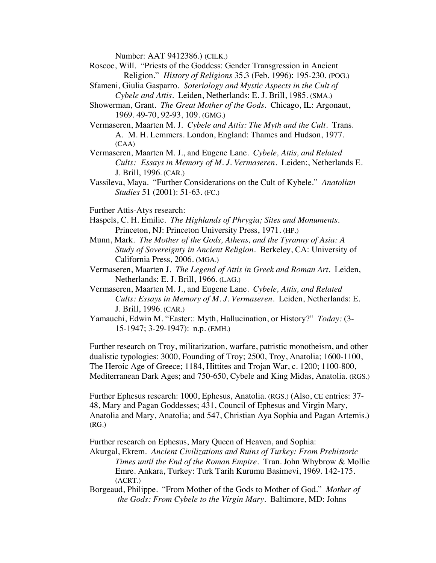Number: AAT 9412386.) (CILK.)

- Roscoe, Will. "Priests of the Goddess: Gender Transgression in Ancient Religion." *History of Religions* 35.3 (Feb. 1996): 195-230. (POG.)
- Sfameni, Giulia Gasparro. *Soteriology and Mystic Aspects in the Cult of Cybele and Attis.* Leiden, Netherlands: E. J. Brill, 1985. (SMA.)
- Showerman, Grant. *The Great Mother of the Gods*. Chicago, IL: Argonaut, 1969. 49-70, 92-93, 109. (GMG.)
- Vermaseren, Maarten M. J. *Cybele and Attis: The Myth and the Cult.* Trans. A. M. H. Lemmers. London, England: Thames and Hudson, 1977. (CAA)
- Vermaseren, Maarten M. J., and Eugene Lane. *Cybele, Attis, and Related Cults: Essays in Memory of M. J. Vermaseren*. Leiden:, Netherlands E. J. Brill, 1996. (CAR.)
- Vassileva, Maya. "Further Considerations on the Cult of Kybele." *Anatolian Studies* 51 (2001): 51-63. (FC.)
- Further Attis-Atys research:
- Haspels, C. H. Emilie. *The Highlands of Phrygia; Sites and Monuments*. Princeton, NJ: Princeton University Press, 1971. (HP.)
- Munn, Mark. *The Mother of the Gods, Athens, and the Tyranny of Asia: A Study of Sovereignty in Ancient Religion.* Berkeley, CA: University of California Press, 2006. (MGA.)
- Vermaseren, Maarten J. *The Legend of Attis in Greek and Roman Art.* Leiden, Netherlands: E. J. Brill, 1966. (LAG.)
- Vermaseren, Maarten M. J., and Eugene Lane. *Cybele, Attis, and Related Cults: Essays in Memory of M. J. Vermaseren*. Leiden, Netherlands: E. J. Brill, 1996. (CAR.)
- Yamauchi, Edwin M. "Easter:: Myth, Hallucination, or History?" *Today:* (3- 15-1947; 3-29-1947): n.p. (EMH.)

Further research on Troy, militarization, warfare, patristic monotheism, and other dualistic typologies: 3000, Founding of Troy; 2500, Troy, Anatolia; 1600-1100, The Heroic Age of Greece; 1184, Hittites and Trojan War, c. 1200; 1100-800, Mediterranean Dark Ages; and 750-650, Cybele and King Midas, Anatolia. (RGS.)

Further Ephesus research: 1000, Ephesus, Anatolia. (RGS.) (Also, CE entries: 37- 48, Mary and Pagan Goddesses; 431, Council of Ephesus and Virgin Mary, Anatolia and Mary, Anatolia; and 547, Christian Aya Sophia and Pagan Artemis.) (RG.)

Further research on Ephesus, Mary Queen of Heaven, and Sophia:

Akurgal, Ekrem. *Ancient Civilizations and Ruins of Turkey: From Prehistoric Times until the End of the Roman Empire*. Tran. John Whybrow & Mollie Emre. Ankara, Turkey: Turk Tarih Kurumu Basimevi, 1969. 142-175. (ACRT.)

Borgeaud, Philippe. "From Mother of the Gods to Mother of God." *Mother of the Gods: From Cybele to the Virgin Mary.* Baltimore, MD: Johns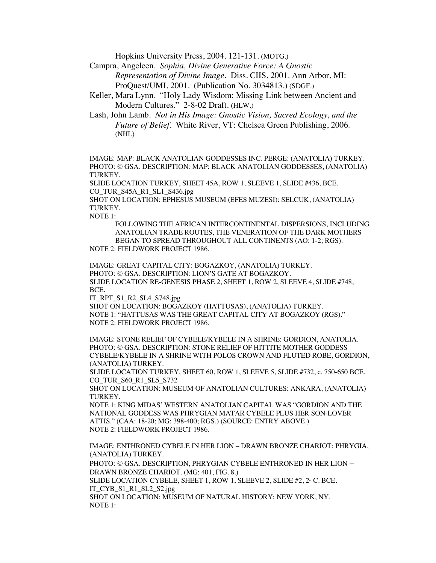Hopkins University Press, 2004. 121-131. (MOTG.)

Campra, Angeleen. *Sophia, Divine Generative Force: A Gnostic Representation of Divine Image.* Diss. CIIS, 2001. Ann Arbor, MI: ProQuest/UMI, 2001. (Publication No. 3034813.) (SDGF.)

Keller, Mara Lynn. "Holy Lady Wisdom: Missing Link between Ancient and Modern Cultures." 2-8-02 Draft. (HLW.)

Lash, John Lamb. *Not in His Image: Gnostic Vision, Sacred Ecology, and the Future of Belief.* White River, VT: Chelsea Green Publishing, 2006. (NHI.)

IMAGE: MAP: BLACK ANATOLIAN GODDESSES INC. PERGE: (ANATOLIA) TURKEY. PHOTO: © GSA. DESCRIPTION: MAP: BLACK ANATOLIAN GODDESSES, (ANATOLIA) TURKEY.

SLIDE LOCATION TURKEY, SHEET 45A, ROW 1, SLEEVE 1, SLIDE #436, BCE. CO\_TUR\_S45A\_R1\_SL1\_S436.jpg

SHOT ON LOCATION: EPHESUS MUSEUM (EFES MUZESI): SELCUK, (ANATOLIA) TURKEY.

NOTE 1:

NOTE 1:

FOLLOWING THE AFRICAN INTERCONTINENTAL DISPERSIONS, INCLUDING ANATOLIAN TRADE ROUTES, THE VENERATION OF THE DARK MOTHERS BEGAN TO SPREAD THROUGHOUT ALL CONTINENTS (AO: 1-2; RGS). NOTE 2: FIELDWORK PROJECT 1986.

IMAGE: GREAT CAPITAL CITY: BOGAZKOY, (ANATOLIA) TURKEY. PHOTO: © GSA. DESCRIPTION: LION'S GATE AT BOGAZKOY. SLIDE LOCATION RE-GENESIS PHASE 2, SHEET 1, ROW 2, SLEEVE 4, SLIDE #748, BCE.

IT\_RPT\_S1\_R2\_SL4\_S748.jpg

SHOT ON LOCATION: BOGAZKOY (HATTUSAS), (ANATOLIA) TURKEY. NOTE 1: "HATTUSAS WAS THE GREAT CAPITAL CITY AT BOGAZKOY (RGS)." NOTE 2: FIELDWORK PROJECT 1986.

IMAGE: STONE RELIEF OF CYBELE/KYBELE IN A SHRINE: GORDION, ANATOLIA. PHOTO: © GSA. DESCRIPTION: STONE RELIEF OF HITTITE MOTHER GODDESS CYBELE/KYBELE IN A SHRINE WITH POLOS CROWN AND FLUTED ROBE, GORDION, (ANATOLIA) TURKEY.

SLIDE LOCATION TURKEY, SHEET 60, ROW 1, SLEEVE 5, SLIDE #732, c. 750-650 BCE. CO\_TUR\_S60\_R1\_SL5\_S732

SHOT ON LOCATION: MUSEUM OF ANATOLIAN CULTURES: ANKARA, (ANATOLIA) TURKEY.

NOTE 1: KING MIDAS' WESTERN ANATOLIAN CAPITAL WAS "GORDION AND THE NATIONAL GODDESS WAS PHRYGIAN MATAR CYBELE PLUS HER SON-LOVER ATTIS." (CAA: 18-20; MG: 398-400; RGS.) (SOURCE: ENTRY ABOVE.) NOTE 2: FIELDWORK PROJECT 1986.

IMAGE: ENTHRONED CYBELE IN HER LION – DRAWN BRONZE CHARIOT: PHRYGIA, (ANATOLIA) TURKEY. PHOTO: © GSA. DESCRIPTION, PHRYGIAN CYBELE ENTHRONED IN HER LION –

DRAWN BRONZE CHARIOT. (MG: 401, FIG. 8.) SLIDE LOCATION CYBELE, SHEET 1, ROW 1, SLEEVE 2, SLIDE  $#2, 2^{\omega}$  C. BCE. IT\_CYB\_S1\_R1\_SL2\_S2.jpg SHOT ON LOCATION: MUSEUM OF NATURAL HISTORY: NEW YORK, NY.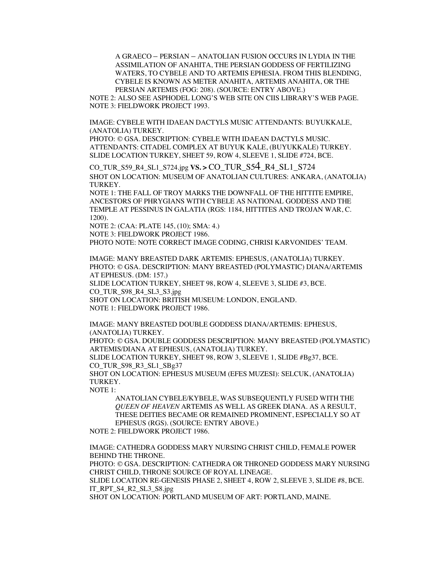A GRAECO – PERSIAN – ANATOLIAN FUSION OCCURS IN LYDIA IN THE ASSIMILATION OF ANAHITA, THE PERSIAN GODDESS OF FERTILIZING WATERS, TO CYBELE AND TO ARTEMIS EPHESIA. FROM THIS BLENDING, CYBELE IS KNOWN AS METER ANAHITA, ARTEMIS ANAHITA, OR THE PERSIAN ARTEMIS (FOG: 208). (SOURCE: ENTRY ABOVE.)

NOTE 2: ALSO SEE ASPHODEL LONG'S WEB SITE ON CIIS LIBRARY'S WEB PAGE. NOTE 3: FIELDWORK PROJECT 1993.

IMAGE: CYBELE WITH IDAEAN DACTYLS MUSIC ATTENDANTS: BUYUKKALE, (ANATOLIA) TURKEY.

PHOTO: © GSA. DESCRIPTION: CYBELE WITH IDAEAN DACTYLS MUSIC. ATTENDANTS: CITADEL COMPLEX AT BUYUK KALE, (BUYUKKALE) TURKEY. SLIDE LOCATION TURKEY, SHEET 59, ROW 4, SLEEVE 1, SLIDE #724, BCE.

CO\_TUR\_S59\_R4\_SL1\_S724.jpg **VS. >** CO\_TUR\_S54\_R4\_SL1\_S724 SHOT ON LOCATION: MUSEUM OF ANATOLIAN CULTURES: ANKARA, (ANATOLIA) TURKEY.

NOTE 1: THE FALL OF TROY MARKS THE DOWNFALL OF THE HITTITE EMPIRE, ANCESTORS OF PHRYGIANS WITH CYBELE AS NATIONAL GODDESS AND THE TEMPLE AT PESSINUS IN GALATIA (RGS: 1184, HITTITES AND TROJAN WAR, C. 1200).

NOTE 2: (CAA: PLATE 145, (10); SMA: 4.) NOTE 3: FIELDWORK PROJECT 1986.

PHOTO NOTE: NOTE CORRECT IMAGE CODING, CHRISI KARVONIDES' TEAM.

IMAGE: MANY BREASTED DARK ARTEMIS: EPHESUS, (ANATOLIA) TURKEY. PHOTO: © GSA. DESCRIPTION: MANY BREASTED (POLYMASTIC) DIANA/ARTEMIS AT EPHESUS. (DM: 157.)

SLIDE LOCATION TURKEY, SHEET 98, ROW 4, SLEEVE 3, SLIDE #3, BCE. CO\_TUR\_S98\_R4\_SL3\_S3.jpg

SHOT ON LOCATION: BRITISH MUSEUM: LONDON, ENGLAND. NOTE 1: FIELDWORK PROJECT 1986.

IMAGE: MANY BREASTED DOUBLE GODDESS DIANA/ARTEMIS: EPHESUS, (ANATOLIA) TURKEY. PHOTO: © GSA. DOUBLE GODDESS DESCRIPTION: MANY BREASTED (POLYMASTIC)

ARTEMIS/DIANA AT EPHESUS, (ANATOLIA) TURKEY.

SLIDE LOCATION TURKEY, SHEET 98, ROW 3, SLEEVE 1, SLIDE #Bg37, BCE. CO\_TUR\_S98\_R3\_SL1\_SBg37

SHOT ON LOCATION: EPHESUS MUSEUM (EFES MUZESI): SELCUK, (ANATOLIA) TURKEY.

NOTE 1:

ANATOLIAN CYBELE/KYBELE, WAS SUBSEQUENTLY FUSED WITH THE *QUEEN OF HEAVEN* ARTEMIS AS WELL AS GREEK DIANA. AS A RESULT, THESE DEITIES BECAME OR REMAINED PROMINENT, ESPECIALLY SO AT EPHESUS (RGS). (SOURCE: ENTRY ABOVE.)

NOTE 2: FIELDWORK PROJECT 1986.

IMAGE: CATHEDRA GODDESS MARY NURSING CHRIST CHILD, FEMALE POWER BEHIND THE THRONE. PHOTO: © GSA. DESCRIPTION: CATHEDRA OR THRONED GODDESS MARY NURSING CHRIST CHILD, THRONE SOURCE OF ROYAL LINEAGE. SLIDE LOCATION RE-GENESIS PHASE 2, SHEET 4, ROW 2, SLEEVE 3, SLIDE #8, BCE. IT\_RPT\_S4\_R2\_SL3\_S8.jpg SHOT ON LOCATION: PORTLAND MUSEUM OF ART: PORTLAND, MAINE.